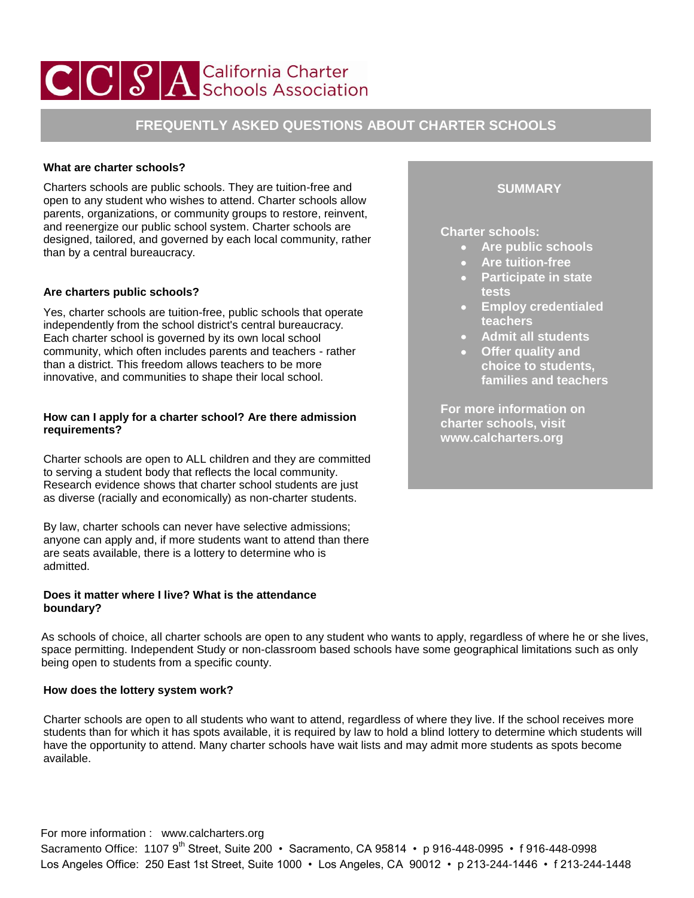# CCSA California Charter

## **FREQUENTLY ASKED QUESTIONS ABOUT CHARTER SCHOOLS**

### **What are charter schools?**

Charters schools are public schools. They are tuition-free and open to any student who wishes to attend. Charter schools allow parents, organizations, or community groups to restore, reinvent, and reenergize our public school system. Charter schools are designed, tailored, and governed by each local community, rather than by a central bureaucracy.

## **Are charters public schools?**

Yes, charter schools are tuition-free, public schools that operate independently from the school district's central bureaucracy. Each charter school is governed by its own local school community, which often includes parents and teachers - rather than a district. This freedom allows teachers to be more innovative, and communities to shape their local school.

#### **How can I apply for a charter school? Are there admission requirements?**

Charter schools are open to ALL children and they are committed to serving a student body that reflects the local community. [Research evidence](http://www.calcharters.org/2011/04/do-charter-schools-cream-or-skim-the-best-students.html) shows that charter school students are just as diverse (racially and economically) as non-charter students.

By law, charter schools can never have selective admissions; anyone can apply and, if more students want to attend than there are seats available, there is a lottery to determine who is admitted.

### **Does it matter where I live? What is the attendance boundary?**

As schools of choice, all charter schools are open to any student who wants to apply, regardless of where he or she lives, space permitting. Independent Study or non-classroom based schools have some geographical limitations such as only being open to students from a specific county.

### **How does the lottery system work?**

Charter schools are open to all students who want to attend, regardless of where they live. If the school receives more students than for which it has spots available, it is required by law to hold a blind lottery to determine which students will have the opportunity to attend. Many charter schools have wait lists and may admit more students as spots become available.

## For more information : www.calcharters.org Sacramento Office: 1107 9<sup>th</sup> Street, Suite 200 • Sacramento, CA 95814 • p 916-448-0995 • f 916-448-0998 Los Angeles Office: 250 East 1st Street, Suite 1000 • Los Angeles, CA 90012 • p 213-244-1446 • f 213-244-1448

## **SUMMARY**

**Charter schools:** 

- **Are public schools**
- **Are tuition-free**
- **Participate in state tests**
- **Employ credentialed teachers**
- **Admit all students**
- **Offer quality and choice to students, families and teachers**

**For more information on charter schools, visit www.calcharters.org**